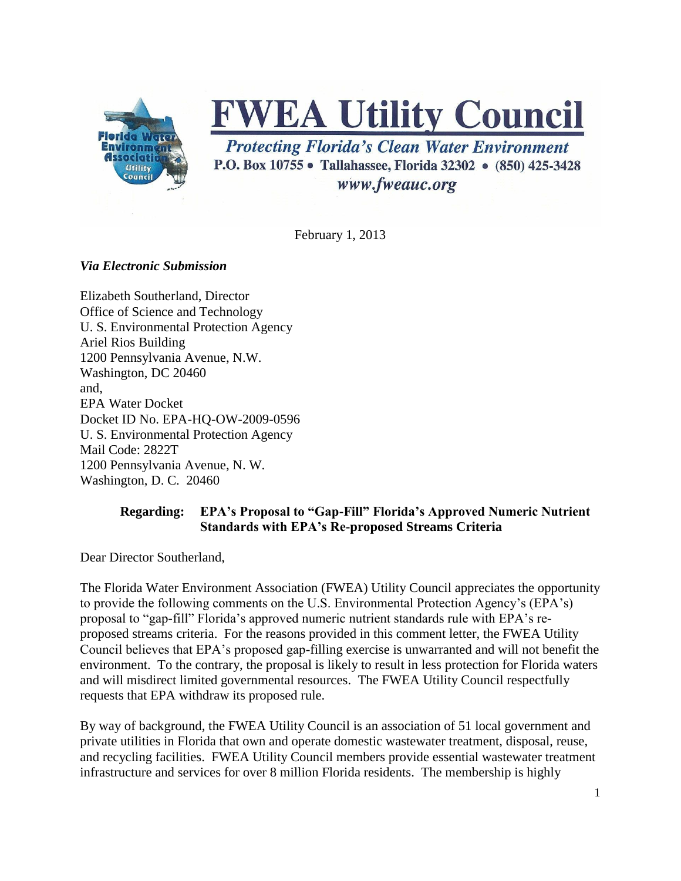

# **FWEA Utility Council**

**Protecting Florida's Clean Water Environment** P.O. Box 10755 • Tallahassee, Florida 32302 • (850) 425-3428 www.fweauc.org

February 1, 2013

## *Via Electronic Submission*

Elizabeth Southerland, Director Office of Science and Technology U. S. Environmental Protection Agency Ariel Rios Building 1200 Pennsylvania Avenue, N.W. Washington, DC 20460 and, EPA Water Docket Docket ID No. EPA-HQ-OW-2009-0596 U. S. Environmental Protection Agency Mail Code: 2822T 1200 Pennsylvania Avenue, N. W. Washington, D. C. 20460

## **Regarding: EPA's Proposal to "Gap-Fill" Florida's Approved Numeric Nutrient Standards with EPA's Re-proposed Streams Criteria**

Dear Director Southerland,

The Florida Water Environment Association (FWEA) Utility Council appreciates the opportunity to provide the following comments on the U.S. Environmental Protection Agency's (EPA's) proposal to "gap-fill" Florida's approved numeric nutrient standards rule with EPA's reproposed streams criteria. For the reasons provided in this comment letter, the FWEA Utility Council believes that EPA's proposed gap-filling exercise is unwarranted and will not benefit the environment. To the contrary, the proposal is likely to result in less protection for Florida waters and will misdirect limited governmental resources. The FWEA Utility Council respectfully requests that EPA withdraw its proposed rule.

By way of background, the FWEA Utility Council is an association of 51 local government and private utilities in Florida that own and operate domestic wastewater treatment, disposal, reuse, and recycling facilities. FWEA Utility Council members provide essential wastewater treatment infrastructure and services for over 8 million Florida residents. The membership is highly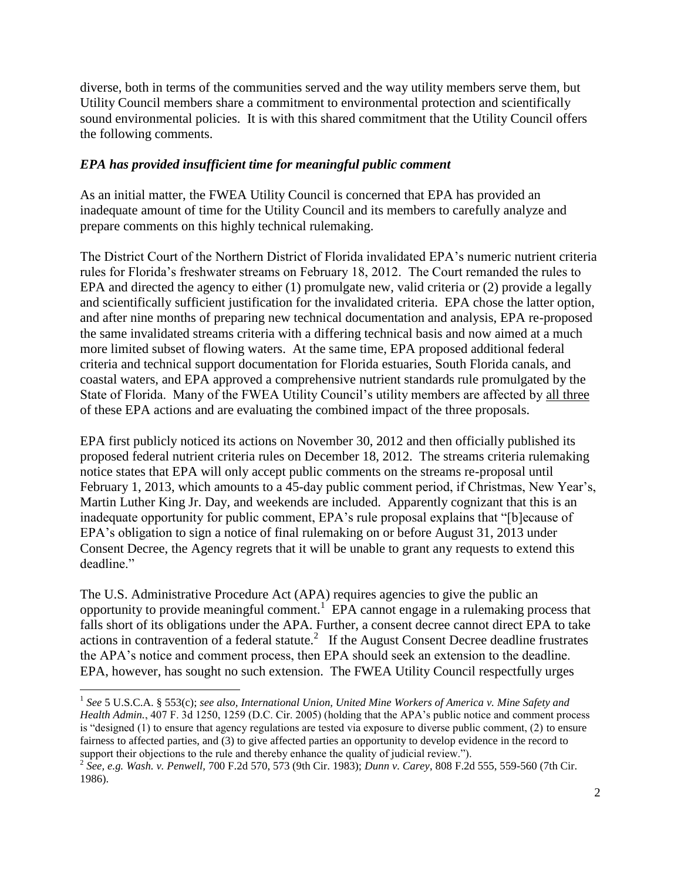diverse, both in terms of the communities served and the way utility members serve them, but Utility Council members share a commitment to environmental protection and scientifically sound environmental policies. It is with this shared commitment that the Utility Council offers the following comments.

## *EPA has provided insufficient time for meaningful public comment*

As an initial matter, the FWEA Utility Council is concerned that EPA has provided an inadequate amount of time for the Utility Council and its members to carefully analyze and prepare comments on this highly technical rulemaking.

The District Court of the Northern District of Florida invalidated EPA's numeric nutrient criteria rules for Florida's freshwater streams on February 18, 2012. The Court remanded the rules to EPA and directed the agency to either (1) promulgate new, valid criteria or (2) provide a legally and scientifically sufficient justification for the invalidated criteria. EPA chose the latter option, and after nine months of preparing new technical documentation and analysis, EPA re-proposed the same invalidated streams criteria with a differing technical basis and now aimed at a much more limited subset of flowing waters. At the same time, EPA proposed additional federal criteria and technical support documentation for Florida estuaries, South Florida canals, and coastal waters, and EPA approved a comprehensive nutrient standards rule promulgated by the State of Florida. Many of the FWEA Utility Council's utility members are affected by all three of these EPA actions and are evaluating the combined impact of the three proposals.

EPA first publicly noticed its actions on November 30, 2012 and then officially published its proposed federal nutrient criteria rules on December 18, 2012. The streams criteria rulemaking notice states that EPA will only accept public comments on the streams re-proposal until February 1, 2013, which amounts to a 45-day public comment period, if Christmas, New Year's, Martin Luther King Jr. Day, and weekends are included. Apparently cognizant that this is an inadequate opportunity for public comment, EPA's rule proposal explains that "[b]ecause of EPA's obligation to sign a notice of final rulemaking on or before August 31, 2013 under Consent Decree, the Agency regrets that it will be unable to grant any requests to extend this deadline."

The U.S. Administrative Procedure Act (APA) requires agencies to give the public an opportunity to provide meaningful comment.<sup>1</sup> EPA cannot engage in a rulemaking process that falls short of its obligations under the APA. Further, a consent decree cannot direct EPA to take actions in contravention of a federal statute.<sup>2</sup> If the August Consent Decree deadline frustrates the APA's notice and comment process, then EPA should seek an extension to the deadline. EPA, however, has sought no such extension. The FWEA Utility Council respectfully urges

 $\overline{\phantom{a}}$ 1 *See* 5 U.S.C.A. § 553(c); *see also, International Union, United Mine Workers of America v. Mine Safety and Health Admin.*, 407 F. 3d 1250, 1259 (D.C. Cir. 2005) (holding that the APA's public notice and comment process is "designed (1) to ensure that agency regulations are tested via exposure to diverse public comment, (2) to ensure fairness to affected parties, and (3) to give affected parties an opportunity to develop evidence in the record to support their objections to the rule and thereby enhance the quality of judicial review.").

<sup>2</sup> *See, e.g. Wash. v. Penwell,* 700 F.2d 570, 573 (9th Cir. 1983); *Dunn v. Carey*, 808 F.2d 555, 559-560 (7th Cir. 1986).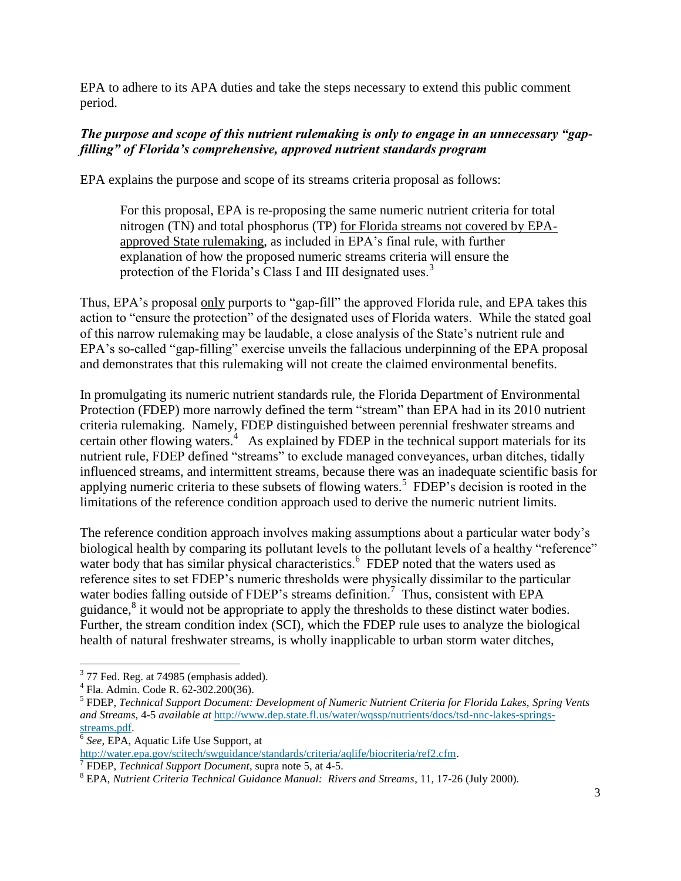EPA to adhere to its APA duties and take the steps necessary to extend this public comment period.

### *The purpose and scope of this nutrient rulemaking is only to engage in an unnecessary "gapfilling" of Florida's comprehensive, approved nutrient standards program*

EPA explains the purpose and scope of its streams criteria proposal as follows:

For this proposal, EPA is re-proposing the same numeric nutrient criteria for total nitrogen (TN) and total phosphorus (TP) for Florida streams not covered by EPAapproved State rulemaking, as included in EPA's final rule, with further explanation of how the proposed numeric streams criteria will ensure the protection of the Florida's Class I and III designated uses.<sup>3</sup>

Thus, EPA's proposal only purports to "gap-fill" the approved Florida rule, and EPA takes this action to "ensure the protection" of the designated uses of Florida waters. While the stated goal of this narrow rulemaking may be laudable, a close analysis of the State's nutrient rule and EPA's so-called "gap-filling" exercise unveils the fallacious underpinning of the EPA proposal and demonstrates that this rulemaking will not create the claimed environmental benefits.

In promulgating its numeric nutrient standards rule, the Florida Department of Environmental Protection (FDEP) more narrowly defined the term "stream" than EPA had in its 2010 nutrient criteria rulemaking. Namely, FDEP distinguished between perennial freshwater streams and certain other flowing waters.<sup>4</sup> As explained by FDEP in the technical support materials for its nutrient rule, FDEP defined "streams" to exclude managed conveyances, urban ditches, tidally influenced streams, and intermittent streams, because there was an inadequate scientific basis for applying numeric criteria to these subsets of flowing waters.<sup>5</sup> FDEP's decision is rooted in the limitations of the reference condition approach used to derive the numeric nutrient limits.

The reference condition approach involves making assumptions about a particular water body's biological health by comparing its pollutant levels to the pollutant levels of a healthy "reference" water body that has similar physical characteristics.<sup>6</sup> FDEP noted that the waters used as reference sites to set FDEP's numeric thresholds were physically dissimilar to the particular water bodies falling outside of FDEP's streams definition.<sup>7</sup> Thus, consistent with EPA guidance, $^8$  it would not be appropriate to apply the thresholds to these distinct water bodies. Further, the stream condition index (SCI), which the FDEP rule uses to analyze the biological health of natural freshwater streams, is wholly inapplicable to urban storm water ditches,

<sup>&</sup>lt;sup>3</sup> 77 Fed. Reg. at 74985 (emphasis added).

<sup>4</sup> Fla. Admin. Code R. 62-302.200(36).

<sup>5</sup> FDEP, *Technical Support Document: Development of Numeric Nutrient Criteria for Florida Lakes, Spring Vents and Streams,* 4-5 *available at* [http://www.dep.state.fl.us/water/wqssp/nutrients/docs/tsd-nnc-lakes-springs](http://www.dep.state.fl.us/water/wqssp/nutrients/docs/tsd-nnc-lakes-springs-streams.pdf)[streams.pdf.](http://www.dep.state.fl.us/water/wqssp/nutrients/docs/tsd-nnc-lakes-springs-streams.pdf)

<sup>6</sup> *See,* EPA, Aquatic Life Use Support, at

[http://water.epa.gov/scitech/swguidance/standards/criteria/aqlife/biocriteria/ref2.cfm.](http://water.epa.gov/scitech/swguidance/standards/criteria/aqlife/biocriteria/ref2.cfm)

<sup>7</sup> FDEP, *Technical Support Document*, supra note 5, at 4-5.

<sup>8</sup> EPA, *Nutrient Criteria Technical Guidance Manual: Rivers and Streams*, 11, 17-26 (July 2000).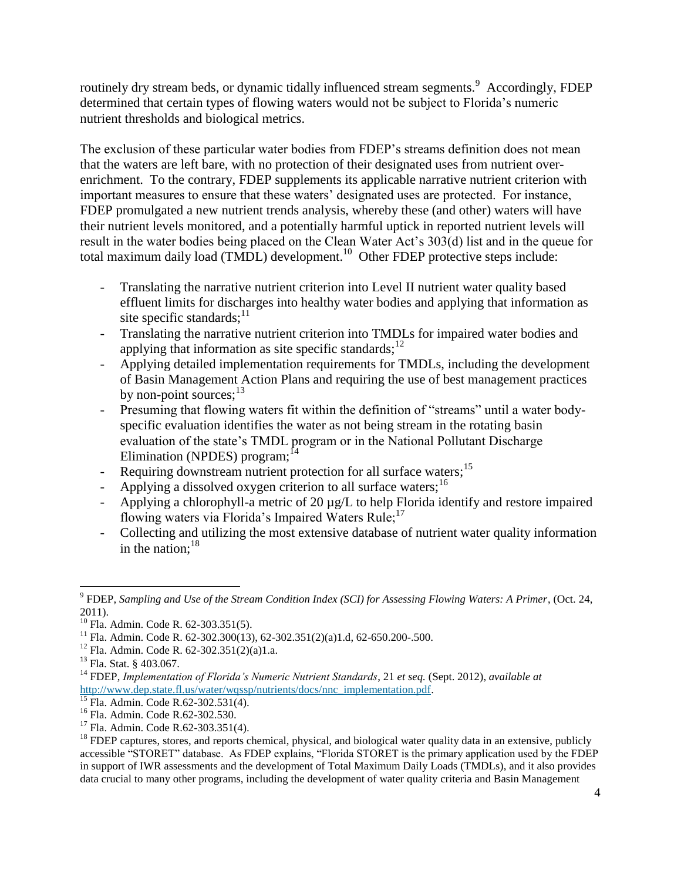routinely dry stream beds, or dynamic tidally influenced stream segments.<sup>9</sup> Accordingly, FDEP determined that certain types of flowing waters would not be subject to Florida's numeric nutrient thresholds and biological metrics.

The exclusion of these particular water bodies from FDEP's streams definition does not mean that the waters are left bare, with no protection of their designated uses from nutrient overenrichment. To the contrary, FDEP supplements its applicable narrative nutrient criterion with important measures to ensure that these waters' designated uses are protected. For instance, FDEP promulgated a new nutrient trends analysis, whereby these (and other) waters will have their nutrient levels monitored, and a potentially harmful uptick in reported nutrient levels will result in the water bodies being placed on the Clean Water Act's 303(d) list and in the queue for total maximum daily load (TMDL) development.<sup>10</sup> Other FDEP protective steps include:

- Translating the narrative nutrient criterion into Level II nutrient water quality based effluent limits for discharges into healthy water bodies and applying that information as site specific standards; $11$
- Translating the narrative nutrient criterion into TMDLs for impaired water bodies and applying that information as site specific standards; $^{12}$
- Applying detailed implementation requirements for TMDLs, including the development of Basin Management Action Plans and requiring the use of best management practices by non-point sources;<sup>13</sup>
- Presuming that flowing waters fit within the definition of "streams" until a water bodyspecific evaluation identifies the water as not being stream in the rotating basin evaluation of the state's TMDL program or in the National Pollutant Discharge Elimination (NPDES) program; $^{14}$
- Requiring downstream nutrient protection for all surface waters;<sup>15</sup>
- Applying a dissolved oxygen criterion to all surface waters;  $^{16}$
- Applying a chlorophyll-a metric of 20 µg/L to help Florida identify and restore impaired flowing waters via Florida's Impaired Waters Rule;<sup>17</sup>
- Collecting and utilizing the most extensive database of nutrient water quality information in the nation:  $18$

 $\overline{a}$ 

<sup>9</sup> FDEP, *Sampling and Use of the Stream Condition Index (SCI) for Assessing Flowing Waters: A Primer*, (Oct. 24, 2011).

<sup>&</sup>lt;sup>10</sup> Fla. Admin. Code R. 62-303.351(5).

<sup>&</sup>lt;sup>11</sup> Fla. Admin. Code R. 62-302.300(13), 62-302.351(2)(a)1.d, 62-650.200-.500.

 $12$  Fla. Admin. Code R. 62-302.351(2)(a)1.a.

<sup>13</sup> Fla. Stat. § 403.067.

<sup>14</sup> FDEP, *Implementation of Florida's Numeric Nutrient Standards*, 21 *et seq.* (Sept. 2012), *available at* [http://www.dep.state.fl.us/water/wqssp/nutrients/docs/nnc\\_implementation.pdf.](http://www.dep.state.fl.us/water/wqssp/nutrients/docs/nnc_implementation.pdf)

 $15$  Fla. Admin. Code R.62-302.531(4).

<sup>16</sup> Fla. Admin. Code R.62-302.530.

 $17$  Fla. Admin. Code R.62-303.351(4).

 $18$  FDEP captures, stores, and reports chemical, physical, and biological water quality data in an extensive, publicly accessible "STORET" database. As FDEP explains, "Florida STORET is the primary application used by the FDEP in support of IWR assessments and the development of Total Maximum Daily Loads (TMDLs), and it also provides data crucial to many other programs, including the development of water quality criteria and Basin Management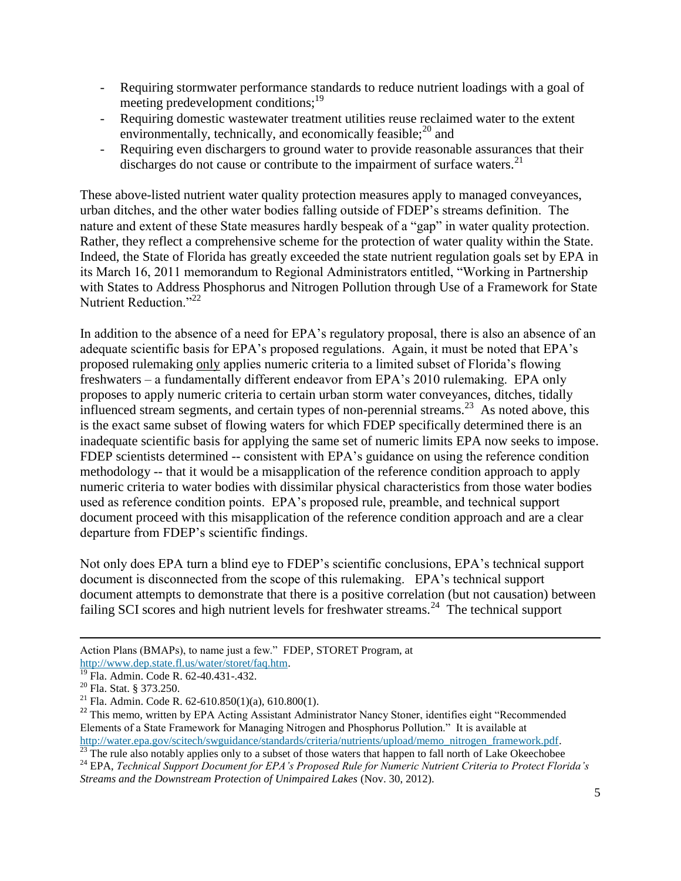- Requiring stormwater performance standards to reduce nutrient loadings with a goal of meeting predevelopment conditions:<sup>19</sup>
- Requiring domestic wastewater treatment utilities reuse reclaimed water to the extent environmentally, technically, and economically feasible; $^{20}$  and
- Requiring even dischargers to ground water to provide reasonable assurances that their discharges do not cause or contribute to the impairment of surface waters.<sup>21</sup>

These above-listed nutrient water quality protection measures apply to managed conveyances, urban ditches, and the other water bodies falling outside of FDEP's streams definition. The nature and extent of these State measures hardly bespeak of a "gap" in water quality protection. Rather, they reflect a comprehensive scheme for the protection of water quality within the State. Indeed, the State of Florida has greatly exceeded the state nutrient regulation goals set by EPA in its March 16, 2011 memorandum to Regional Administrators entitled, "Working in Partnership with States to Address Phosphorus and Nitrogen Pollution through Use of a Framework for State Nutrient Reduction<sup>"22</sup>

In addition to the absence of a need for EPA's regulatory proposal, there is also an absence of an adequate scientific basis for EPA's proposed regulations. Again, it must be noted that EPA's proposed rulemaking only applies numeric criteria to a limited subset of Florida's flowing freshwaters – a fundamentally different endeavor from EPA's 2010 rulemaking. EPA only proposes to apply numeric criteria to certain urban storm water conveyances, ditches, tidally influenced stream segments, and certain types of non-perennial streams.<sup>23</sup> As noted above, this is the exact same subset of flowing waters for which FDEP specifically determined there is an inadequate scientific basis for applying the same set of numeric limits EPA now seeks to impose. FDEP scientists determined -- consistent with EPA's guidance on using the reference condition methodology -- that it would be a misapplication of the reference condition approach to apply numeric criteria to water bodies with dissimilar physical characteristics from those water bodies used as reference condition points. EPA's proposed rule, preamble, and technical support document proceed with this misapplication of the reference condition approach and are a clear departure from FDEP's scientific findings.

Not only does EPA turn a blind eye to FDEP's scientific conclusions, EPA's technical support document is disconnected from the scope of this rulemaking. EPA's technical support document attempts to demonstrate that there is a positive correlation (but not causation) between failing SCI scores and high nutrient levels for freshwater streams.<sup>24</sup> The technical support

 $\overline{\phantom{a}}$ 

<sup>22</sup> This memo, written by EPA Acting Assistant Administrator Nancy Stoner, identifies eight "Recommended" Elements of a State Framework for Managing Nitrogen and Phosphorus Pollution." It is available at [http://water.epa.gov/scitech/swguidance/standards/criteria/nutrients/upload/memo\\_nitrogen\\_framework.pdf.](http://water.epa.gov/scitech/swguidance/standards/criteria/nutrients/upload/memo_nitrogen_framework.pdf)

Action Plans (BMAPs), to name just a few." FDEP, STORET Program, at [http://www.dep.state.fl.us/water/storet/faq.htm.](http://www.dep.state.fl.us/water/storet/faq.htm)

<sup>19</sup> Fla. Admin. Code R. 62-40.431-.432.

<sup>20</sup> Fla. Stat. § 373.250.

<sup>&</sup>lt;sup>21</sup> Fla. Admin. Code R.  $62-610.850(1)(a)$ , 610.800(1).

<sup>&</sup>lt;sup>23</sup> The rule also notably applies only to a subset of those waters that happen to fall north of Lake Okeechobee

<sup>24</sup> EPA, *Technical Support Document for EPA's Proposed Rule for Numeric Nutrient Criteria to Protect Florida's Streams and the Downstream Protection of Unimpaired Lakes* (Nov. 30, 2012).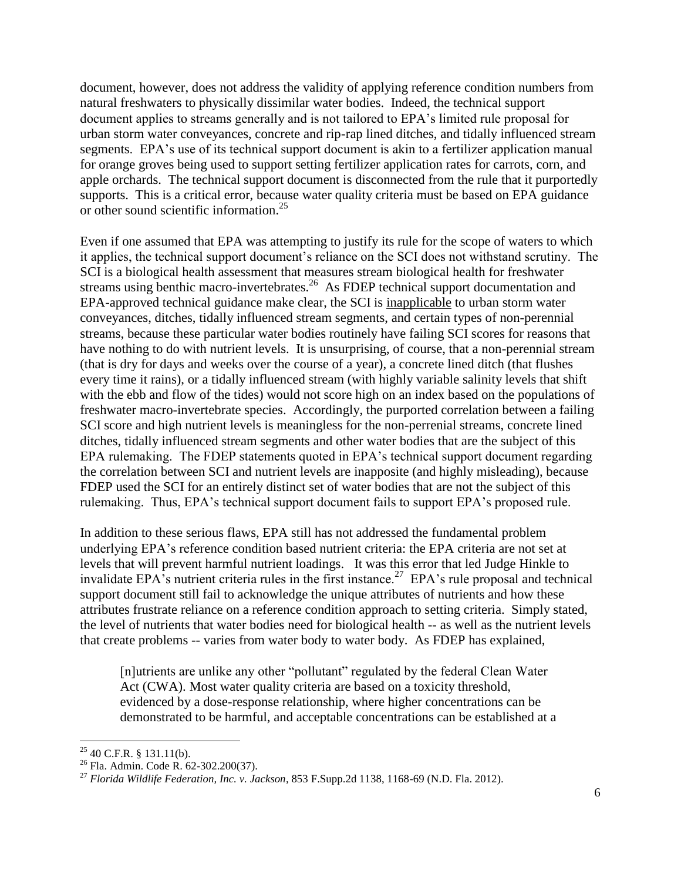document, however, does not address the validity of applying reference condition numbers from natural freshwaters to physically dissimilar water bodies. Indeed, the technical support document applies to streams generally and is not tailored to EPA's limited rule proposal for urban storm water conveyances, concrete and rip-rap lined ditches, and tidally influenced stream segments. EPA's use of its technical support document is akin to a fertilizer application manual for orange groves being used to support setting fertilizer application rates for carrots, corn, and apple orchards. The technical support document is disconnected from the rule that it purportedly supports. This is a critical error, because water quality criteria must be based on EPA guidance or other sound scientific information.<sup>25</sup>

Even if one assumed that EPA was attempting to justify its rule for the scope of waters to which it applies, the technical support document's reliance on the SCI does not withstand scrutiny. The SCI is a biological health assessment that measures stream biological health for freshwater streams using benthic macro-invertebrates.<sup>26</sup> As FDEP technical support documentation and EPA-approved technical guidance make clear, the SCI is inapplicable to urban storm water conveyances, ditches, tidally influenced stream segments, and certain types of non-perennial streams, because these particular water bodies routinely have failing SCI scores for reasons that have nothing to do with nutrient levels. It is unsurprising, of course, that a non-perennial stream (that is dry for days and weeks over the course of a year), a concrete lined ditch (that flushes every time it rains), or a tidally influenced stream (with highly variable salinity levels that shift with the ebb and flow of the tides) would not score high on an index based on the populations of freshwater macro-invertebrate species. Accordingly, the purported correlation between a failing SCI score and high nutrient levels is meaningless for the non-perrenial streams, concrete lined ditches, tidally influenced stream segments and other water bodies that are the subject of this EPA rulemaking. The FDEP statements quoted in EPA's technical support document regarding the correlation between SCI and nutrient levels are inapposite (and highly misleading), because FDEP used the SCI for an entirely distinct set of water bodies that are not the subject of this rulemaking. Thus, EPA's technical support document fails to support EPA's proposed rule.

In addition to these serious flaws, EPA still has not addressed the fundamental problem underlying EPA's reference condition based nutrient criteria: the EPA criteria are not set at levels that will prevent harmful nutrient loadings. It was this error that led Judge Hinkle to invalidate EPA's nutrient criteria rules in the first instance.<sup>27</sup> EPA's rule proposal and technical support document still fail to acknowledge the unique attributes of nutrients and how these attributes frustrate reliance on a reference condition approach to setting criteria. Simply stated, the level of nutrients that water bodies need for biological health -- as well as the nutrient levels that create problems -- varies from water body to water body. As FDEP has explained,

[n]utrients are unlike any other "pollutant" regulated by the federal Clean Water Act (CWA). Most water quality criteria are based on a toxicity threshold, evidenced by a dose-response relationship, where higher concentrations can be demonstrated to be harmful, and acceptable concentrations can be established at a

 $\overline{a}$  $^{25}$  40 C.F.R. § 131.11(b).

<sup>26</sup> Fla. Admin. Code R. 62-302.200(37).

<sup>27</sup> *Florida Wildlife Federation, Inc. v. Jackson*, 853 F.Supp.2d 1138, 1168-69 (N.D. Fla. 2012).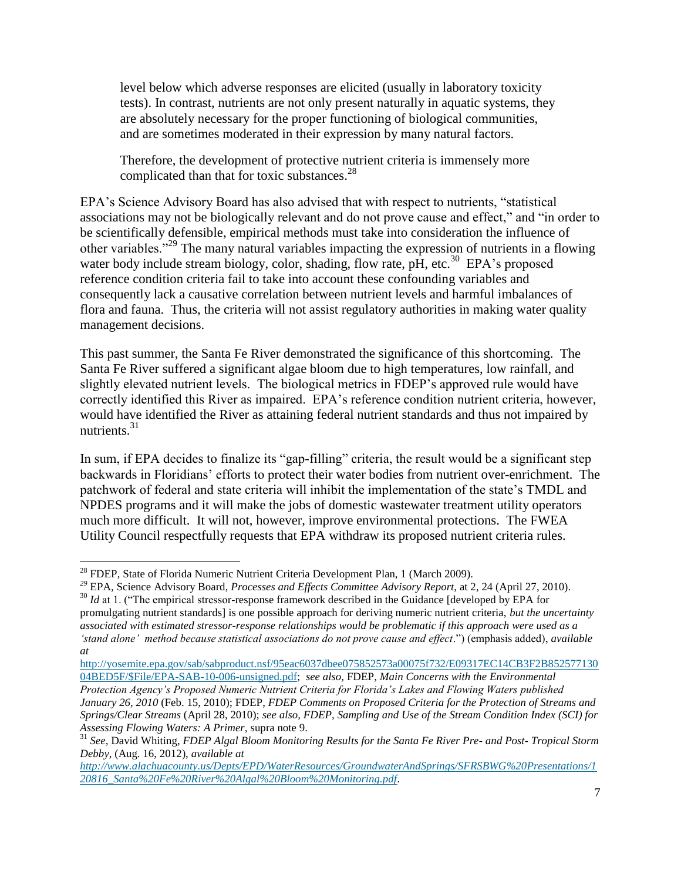level below which adverse responses are elicited (usually in laboratory toxicity tests). In contrast, nutrients are not only present naturally in aquatic systems, they are absolutely necessary for the proper functioning of biological communities, and are sometimes moderated in their expression by many natural factors.

Therefore, the development of protective nutrient criteria is immensely more complicated than that for toxic substances. $^{28}$ 

EPA's Science Advisory Board has also advised that with respect to nutrients, "statistical associations may not be biologically relevant and do not prove cause and effect," and "in order to be scientifically defensible, empirical methods must take into consideration the influence of other variables."<sup>29</sup> The many natural variables impacting the expression of nutrients in a flowing water body include stream biology, color, shading, flow rate, pH, etc.<sup>30</sup> EPA's proposed reference condition criteria fail to take into account these confounding variables and consequently lack a causative correlation between nutrient levels and harmful imbalances of flora and fauna. Thus, the criteria will not assist regulatory authorities in making water quality management decisions.

This past summer, the Santa Fe River demonstrated the significance of this shortcoming. The Santa Fe River suffered a significant algae bloom due to high temperatures, low rainfall, and slightly elevated nutrient levels. The biological metrics in FDEP's approved rule would have correctly identified this River as impaired. EPA's reference condition nutrient criteria, however, would have identified the River as attaining federal nutrient standards and thus not impaired by nutrients.<sup>31</sup>

In sum, if EPA decides to finalize its "gap-filling" criteria, the result would be a significant step backwards in Floridians' efforts to protect their water bodies from nutrient over-enrichment. The patchwork of federal and state criteria will inhibit the implementation of the state's TMDL and NPDES programs and it will make the jobs of domestic wastewater treatment utility operators much more difficult. It will not, however, improve environmental protections. The FWEA Utility Council respectfully requests that EPA withdraw its proposed nutrient criteria rules.

 $\overline{\phantom{a}}$ <sup>28</sup> FDEP, State of Florida Numeric Nutrient Criteria Development Plan, 1 (March 2009).

*<sup>29</sup>* EPA*,* Science Advisory Board*, Processes and Effects Committee Advisory Report,* at 2, 24 (April 27, 2010).

<sup>&</sup>lt;sup>30</sup> *Id* at 1. ("The empirical stressor-response framework described in the Guidance [developed by EPA for

promulgating nutrient standards] is one possible approach for deriving numeric nutrient criteria, *but the uncertainty associated with estimated stressor-response relationships would be problematic if this approach were used as a 'stand alone' method because statistical associations do not prove cause and effect*.") (emphasis added), *available at* 

[http://yosemite.epa.gov/sab/sabproduct.nsf/95eac6037dbee075852573a00075f732/E09317EC14CB3F2B852577130](http://yosemite.epa.gov/sab/sabproduct.nsf/95eac6037dbee075852573a00075f732/E09317EC14CB3F2B85257713004BED5F/$File/EPA-SAB-10-006-unsigned.pdf) [04BED5F/\\$File/EPA-SAB-10-006-unsigned.pdf;](http://yosemite.epa.gov/sab/sabproduct.nsf/95eac6037dbee075852573a00075f732/E09317EC14CB3F2B85257713004BED5F/$File/EPA-SAB-10-006-unsigned.pdf) *see also,* FDEP, *Main Concerns with the Environmental* 

*Protection Agency's Proposed Numeric Nutrient Criteria for Florida's Lakes and Flowing Waters published January 26, 2010* (Feb. 15, 2010); FDEP, *FDEP Comments on Proposed Criteria for the Protection of Streams and Springs/Clear Streams* (April 28, 2010); *see also, FDEP, Sampling and Use of the Stream Condition Index (SCI) for Assessing Flowing Waters: A Primer,* supra note 9.

<sup>31</sup> *See,* David Whiting, *FDEP Algal Bloom Monitoring Results for the Santa Fe River Pre- and Post- Tropical Storm Debby*, (Aug. 16, 2012), *available at* 

*[http://www.alachuacounty.us/Depts/EPD/WaterResources/GroundwaterAndSprings/SFRSBWG%20Presentations/1](http://www.alachuacounty.us/Depts/EPD/WaterResources/GroundwaterAndSprings/SFRSBWG%20Presentations/120816_Santa%20Fe%20River%20Algal%20Bloom%20Monitoring.pdf) [20816\\_Santa%20Fe%20River%20Algal%20Bloom%20Monitoring.pdf.](http://www.alachuacounty.us/Depts/EPD/WaterResources/GroundwaterAndSprings/SFRSBWG%20Presentations/120816_Santa%20Fe%20River%20Algal%20Bloom%20Monitoring.pdf)*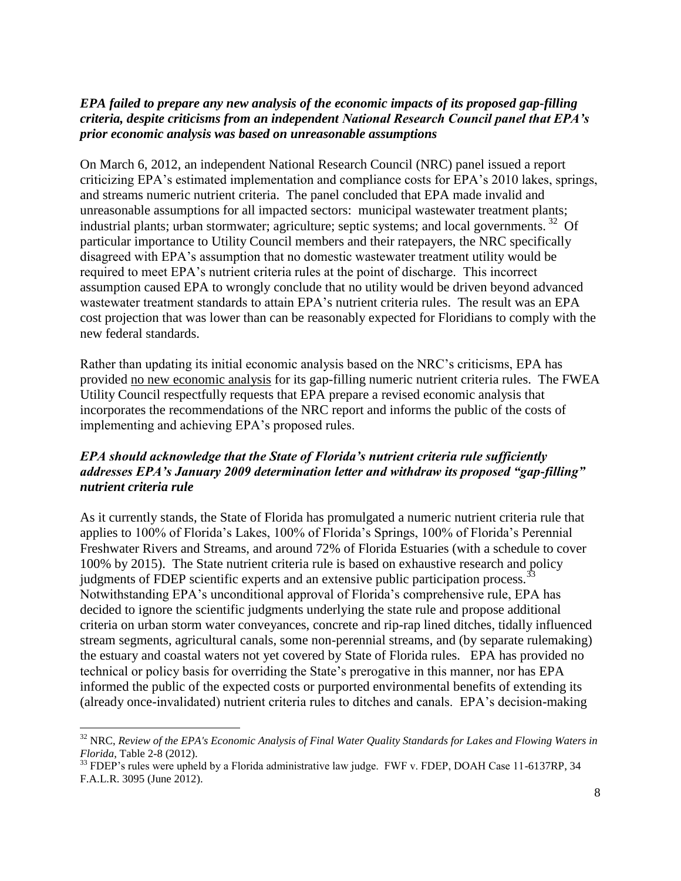## *EPA failed to prepare any new analysis of the economic impacts of its proposed gap-filling criteria, despite criticisms from an independent National Research Council panel that EPA's prior economic analysis was based on unreasonable assumptions*

On March 6, 2012, an independent National Research Council (NRC) panel issued a report criticizing EPA's estimated implementation and compliance costs for EPA's 2010 lakes, springs, and streams numeric nutrient criteria. The panel concluded that EPA made invalid and unreasonable assumptions for all impacted sectors: municipal wastewater treatment plants; industrial plants; urban stormwater; agriculture; septic systems; and local governments.<sup>32</sup> Of particular importance to Utility Council members and their ratepayers, the NRC specifically disagreed with EPA's assumption that no domestic wastewater treatment utility would be required to meet EPA's nutrient criteria rules at the point of discharge. This incorrect assumption caused EPA to wrongly conclude that no utility would be driven beyond advanced wastewater treatment standards to attain EPA's nutrient criteria rules. The result was an EPA cost projection that was lower than can be reasonably expected for Floridians to comply with the new federal standards.

Rather than updating its initial economic analysis based on the NRC's criticisms, EPA has provided no new economic analysis for its gap-filling numeric nutrient criteria rules. The FWEA Utility Council respectfully requests that EPA prepare a revised economic analysis that incorporates the recommendations of the NRC report and informs the public of the costs of implementing and achieving EPA's proposed rules.

## *EPA should acknowledge that the State of Florida's nutrient criteria rule sufficiently addresses EPA's January 2009 determination letter and withdraw its proposed "gap-filling" nutrient criteria rule*

As it currently stands, the State of Florida has promulgated a numeric nutrient criteria rule that applies to 100% of Florida's Lakes, 100% of Florida's Springs, 100% of Florida's Perennial Freshwater Rivers and Streams, and around 72% of Florida Estuaries (with a schedule to cover 100% by 2015). The State nutrient criteria rule is based on exhaustive research and policy judgments of FDEP scientific experts and an extensive public participation process.<sup>33</sup> Notwithstanding EPA's unconditional approval of Florida's comprehensive rule, EPA has decided to ignore the scientific judgments underlying the state rule and propose additional criteria on urban storm water conveyances, concrete and rip-rap lined ditches, tidally influenced stream segments, agricultural canals, some non-perennial streams, and (by separate rulemaking) the estuary and coastal waters not yet covered by State of Florida rules. EPA has provided no technical or policy basis for overriding the State's prerogative in this manner, nor has EPA informed the public of the expected costs or purported environmental benefits of extending its (already once-invalidated) nutrient criteria rules to ditches and canals. EPA's decision-making

l

<sup>32</sup> NRC, *Review of the EPA's Economic Analysis of Final Water Quality Standards for Lakes and Flowing Waters in Florida*, Table 2-8 (2012).

<sup>&</sup>lt;sup>33</sup> FDEP's rules were upheld by a Florida administrative law judge. FWF v. FDEP, DOAH Case 11-6137RP, 34 F.A.L.R. 3095 (June 2012).